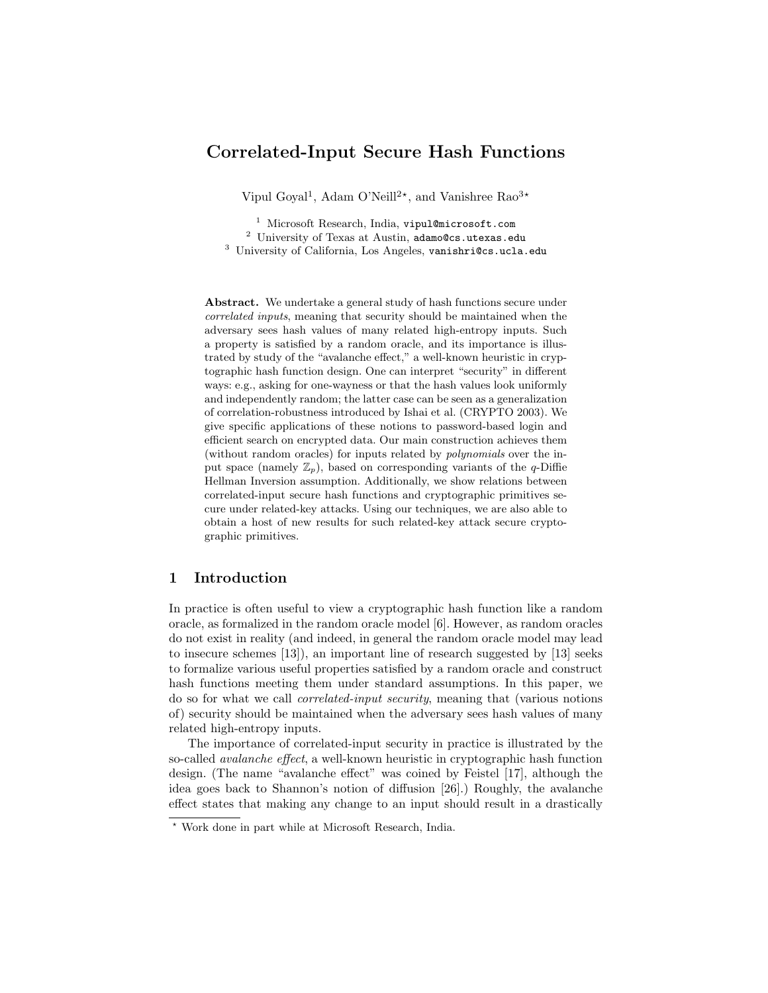# **Correlated-Input Secure Hash Functions**

Vipul Goyal<sup>1</sup>, Adam O'Neill<sup>2</sup><sup>\*</sup>, and Vanishree Rao<sup>3</sup><sup>\*</sup>

<sup>1</sup> Microsoft Research, India, vipul@microsoft.com

<sup>2</sup> University of Texas at Austin, adamo@cs.utexas.edu

<sup>3</sup> University of California, Los Angeles, vanishri@cs.ucla.edu

**Abstract.** We undertake a general study of hash functions secure under *correlated inputs*, meaning that security should be maintained when the adversary sees hash values of many related high-entropy inputs. Such a property is satisfied by a random oracle, and its importance is illustrated by study of the "avalanche effect," a well-known heuristic in cryptographic hash function design. One can interpret "security" in different ways: e.g., asking for one-wayness or that the hash values look uniformly and independently random; the latter case can be seen as a generalization of correlation-robustness introduced by Ishai et al. (CRYPTO 2003). We give specific applications of these notions to password-based login and efficient search on encrypted data. Our main construction achieves them (without random oracles) for inputs related by *polynomials* over the input space (namely  $\mathbb{Z}_p$ ), based on corresponding variants of the *q*-Diffie Hellman Inversion assumption. Additionally, we show relations between correlated-input secure hash functions and cryptographic primitives secure under related-key attacks. Using our techniques, we are also able to obtain a host of new results for such related-key attack secure cryptographic primitives.

## **1 Introduction**

In practice is often useful to view a cryptographic hash function like a random oracle, as formalized in the random oracle model [6]. However, as random oracles do not exist in reality (and indeed, in general the random oracle model may lead to insecure schemes [13]), an important line of research suggested by [13] seeks to formalize various useful properties satisfied by a random oracle and construct hash functions meeting them under standard assumptions. In this paper, we do so for what we call *correlated-input security*, meaning that (various notions of) security should be maintained when the adversary sees hash values of many related high-entropy inputs.

The importance of correlated-input security in practice is illustrated by the so-called *avalanche effect*, a well-known heuristic in cryptographic hash function design. (The name "avalanche effect" was coined by Feistel [17], although the idea goes back to Shannon's notion of diffusion [26].) Roughly, the avalanche effect states that making any change to an input should result in a drastically

*<sup>⋆</sup>* Work done in part while at Microsoft Research, India.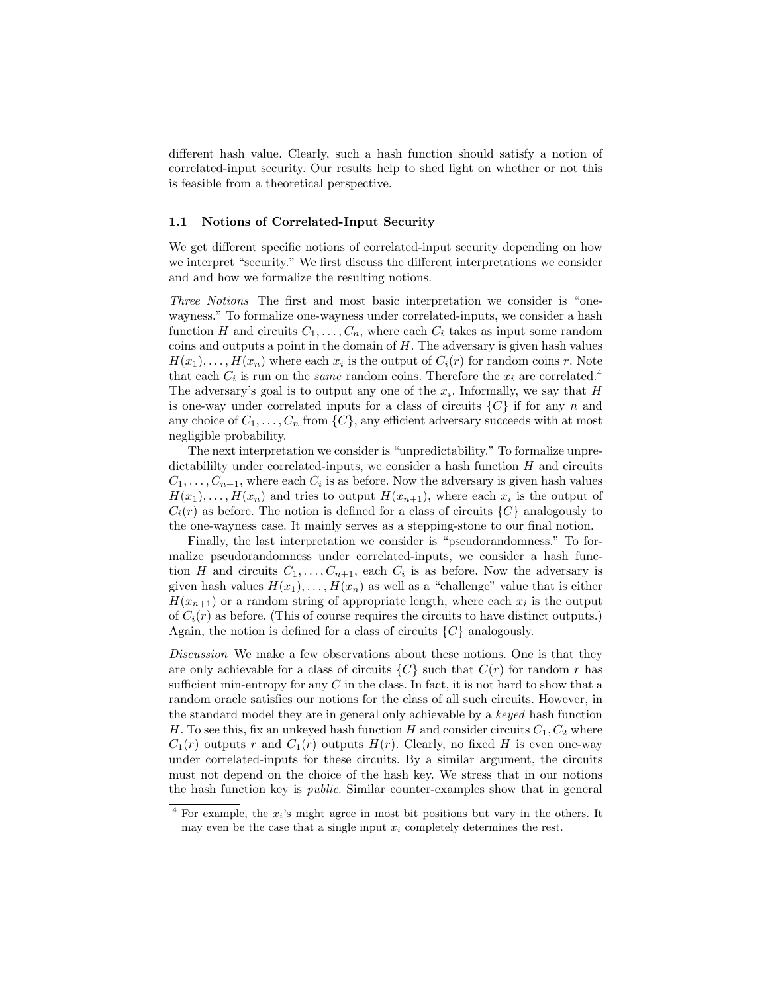different hash value. Clearly, such a hash function should satisfy a notion of correlated-input security. Our results help to shed light on whether or not this is feasible from a theoretical perspective.

#### **1.1 Notions of Correlated-Input Security**

We get different specific notions of correlated-input security depending on how we interpret "security." We first discuss the different interpretations we consider and and how we formalize the resulting notions.

*Three Notions* The first and most basic interpretation we consider is "onewayness." To formalize one-wayness under correlated-inputs, we consider a hash function *H* and circuits  $C_1, \ldots, C_n$ , where each  $C_i$  takes as input some random coins and outputs a point in the domain of *H*. The adversary is given hash values  $H(x_1), \ldots, H(x_n)$  where each  $x_i$  is the output of  $C_i(r)$  for random coins *r*. Note that each  $C_i$  is run on the *same* random coins. Therefore the  $x_i$  are correlated.<sup>4</sup> The adversary's goal is to output any one of the *x<sup>i</sup>* . Informally, we say that *H* is one-way under correlated inputs for a class of circuits *{C}* if for any *n* and any choice of  $C_1, \ldots, C_n$  from  $\{C\}$ , any efficient adversary succeeds with at most negligible probability.

The next interpretation we consider is "unpredictability." To formalize unpredictabililty under correlated-inputs, we consider a hash function *H* and circuits  $C_1, \ldots, C_{n+1}$ , where each  $C_i$  is as before. Now the adversary is given hash values  $H(x_1), \ldots, H(x_n)$  and tries to output  $H(x_{n+1})$ , where each  $x_i$  is the output of  $C_i(r)$  as before. The notion is defined for a class of circuits  $\{C\}$  analogously to the one-wayness case. It mainly serves as a stepping-stone to our final notion.

Finally, the last interpretation we consider is "pseudorandomness." To formalize pseudorandomness under correlated-inputs, we consider a hash function *H* and circuits  $C_1, \ldots, C_{n+1}$ , each  $C_i$  is as before. Now the adversary is given hash values  $H(x_1), \ldots, H(x_n)$  as well as a "challenge" value that is either  $H(x_{n+1})$  or a random string of appropriate length, where each  $x_i$  is the output of  $C_i(r)$  as before. (This of course requires the circuits to have distinct outputs.) Again, the notion is defined for a class of circuits *{C}* analogously.

*Discussion* We make a few observations about these notions. One is that they are only achievable for a class of circuits  $\{C\}$  such that  $C(r)$  for random *r* has sufficient min-entropy for any *C* in the class. In fact, it is not hard to show that a random oracle satisfies our notions for the class of all such circuits. However, in the standard model they are in general only achievable by a *keyed* hash function *H*. To see this, fix an unkeyed hash function *H* and consider circuits  $C_1$ ,  $C_2$  where  $C_1(r)$  outputs *r* and  $C_1(r)$  outputs  $H(r)$ . Clearly, no fixed *H* is even one-way under correlated-inputs for these circuits. By a similar argument, the circuits must not depend on the choice of the hash key. We stress that in our notions the hash function key is *public*. Similar counter-examples show that in general

<sup>4</sup> For example, the *xi*'s might agree in most bit positions but vary in the others. It may even be the case that a single input  $x_i$  completely determines the rest.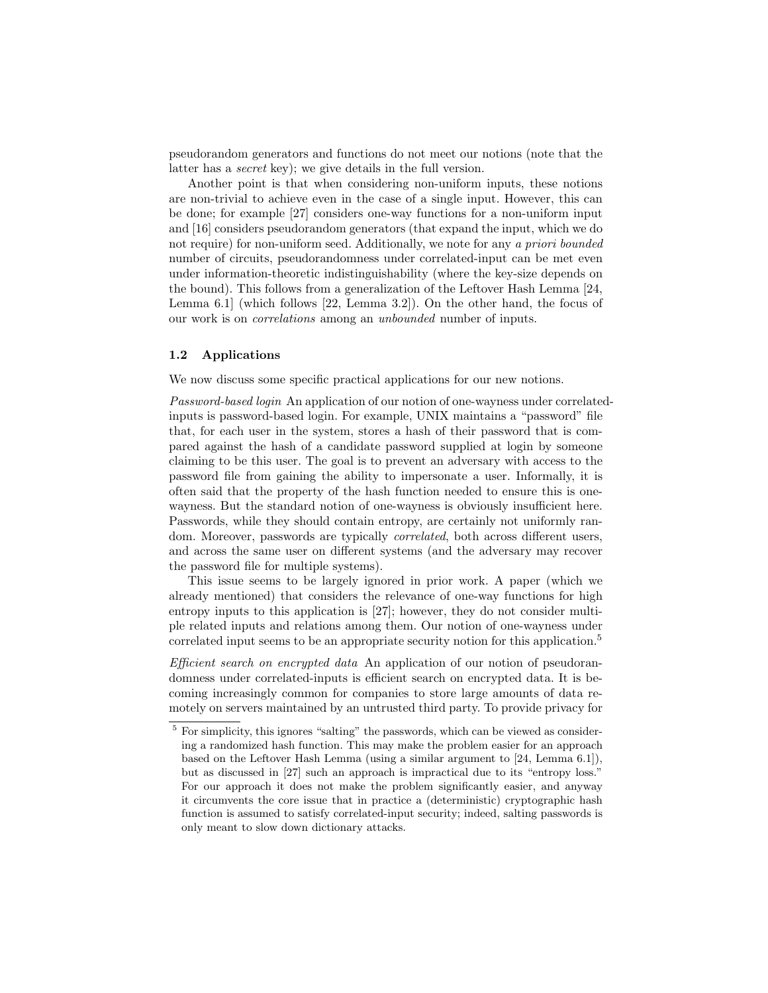pseudorandom generators and functions do not meet our notions (note that the latter has a *secret* key); we give details in the full version.

Another point is that when considering non-uniform inputs, these notions are non-trivial to achieve even in the case of a single input. However, this can be done; for example [27] considers one-way functions for a non-uniform input and [16] considers pseudorandom generators (that expand the input, which we do not require) for non-uniform seed. Additionally, we note for any *a priori bounded* number of circuits, pseudorandomness under correlated-input can be met even under information-theoretic indistinguishability (where the key-size depends on the bound). This follows from a generalization of the Leftover Hash Lemma [24, Lemma 6.1] (which follows [22, Lemma 3.2]). On the other hand, the focus of our work is on *correlations* among an *unbounded* number of inputs.

## **1.2 Applications**

We now discuss some specific practical applications for our new notions.

*Password-based login* An application of our notion of one-wayness under correlatedinputs is password-based login. For example, UNIX maintains a "password" file that, for each user in the system, stores a hash of their password that is compared against the hash of a candidate password supplied at login by someone claiming to be this user. The goal is to prevent an adversary with access to the password file from gaining the ability to impersonate a user. Informally, it is often said that the property of the hash function needed to ensure this is onewayness. But the standard notion of one-wayness is obviously insufficient here. Passwords, while they should contain entropy, are certainly not uniformly random. Moreover, passwords are typically *correlated*, both across different users, and across the same user on different systems (and the adversary may recover the password file for multiple systems).

This issue seems to be largely ignored in prior work. A paper (which we already mentioned) that considers the relevance of one-way functions for high entropy inputs to this application is [27]; however, they do not consider multiple related inputs and relations among them. Our notion of one-wayness under correlated input seems to be an appropriate security notion for this application.<sup>5</sup>

*Efficient search on encrypted data* An application of our notion of pseudorandomness under correlated-inputs is efficient search on encrypted data. It is becoming increasingly common for companies to store large amounts of data remotely on servers maintained by an untrusted third party. To provide privacy for

<sup>5</sup> For simplicity, this ignores "salting" the passwords, which can be viewed as considering a randomized hash function. This may make the problem easier for an approach based on the Leftover Hash Lemma (using a similar argument to [24, Lemma 6.1]), but as discussed in [27] such an approach is impractical due to its "entropy loss." For our approach it does not make the problem significantly easier, and anyway it circumvents the core issue that in practice a (deterministic) cryptographic hash function is assumed to satisfy correlated-input security; indeed, salting passwords is only meant to slow down dictionary attacks.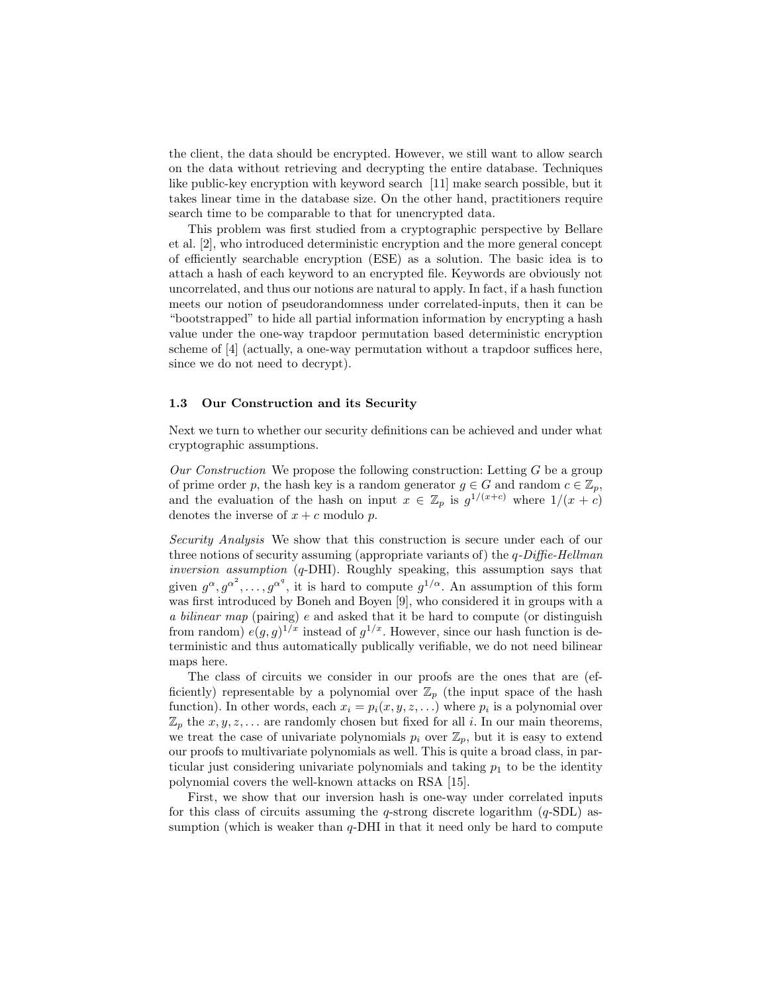the client, the data should be encrypted. However, we still want to allow search on the data without retrieving and decrypting the entire database. Techniques like public-key encryption with keyword search [11] make search possible, but it takes linear time in the database size. On the other hand, practitioners require search time to be comparable to that for unencrypted data.

This problem was first studied from a cryptographic perspective by Bellare et al. [2], who introduced deterministic encryption and the more general concept of efficiently searchable encryption (ESE) as a solution. The basic idea is to attach a hash of each keyword to an encrypted file. Keywords are obviously not uncorrelated, and thus our notions are natural to apply. In fact, if a hash function meets our notion of pseudorandomness under correlated-inputs, then it can be "bootstrapped" to hide all partial information information by encrypting a hash value under the one-way trapdoor permutation based deterministic encryption scheme of [4] (actually, a one-way permutation without a trapdoor suffices here, since we do not need to decrypt).

#### **1.3 Our Construction and its Security**

Next we turn to whether our security definitions can be achieved and under what cryptographic assumptions.

*Our Construction* We propose the following construction: Letting *G* be a group of prime order *p*, the hash key is a random generator  $g \in G$  and random  $c \in \mathbb{Z}_p$ , and the evaluation of the hash on input  $x \in \mathbb{Z}_p$  is  $g^{1/(x+c)}$  where  $1/(x+c)$ denotes the inverse of  $x + c$  modulo  $p$ .

*Security Analysis* We show that this construction is secure under each of our three notions of security assuming (appropriate variants of) the *q-Diffie-Hellman inversion assumption* (*q*-DHI). Roughly speaking, this assumption says that given  $g^{\alpha}, g^{\alpha^2}, \ldots, g^{\alpha^q}$ , it is hard to compute  $g^{1/\alpha}$ . An assumption of this form was first introduced by Boneh and Boyen [9], who considered it in groups with a *a bilinear map* (pairing) *e* and asked that it be hard to compute (or distinguish from random)  $e(g, g)^{1/x}$  instead of  $g^{1/x}$ . However, since our hash function is deterministic and thus automatically publically verifiable, we do not need bilinear maps here.

The class of circuits we consider in our proofs are the ones that are (efficiently) representable by a polynomial over  $\mathbb{Z}_p$  (the input space of the hash function). In other words, each  $x_i = p_i(x, y, z, \ldots)$  where  $p_i$  is a polynomial over  $\mathbb{Z}_p$  the  $x, y, z, \ldots$  are randomly chosen but fixed for all *i*. In our main theorems, we treat the case of univariate polynomials  $p_i$  over  $\mathbb{Z}_p$ , but it is easy to extend our proofs to multivariate polynomials as well. This is quite a broad class, in particular just considering univariate polynomials and taking  $p_1$  to be the identity polynomial covers the well-known attacks on RSA [15].

First, we show that our inversion hash is one-way under correlated inputs for this class of circuits assuming the *q*-strong discrete logarithm (*q*-SDL) assumption (which is weaker than *q*-DHI in that it need only be hard to compute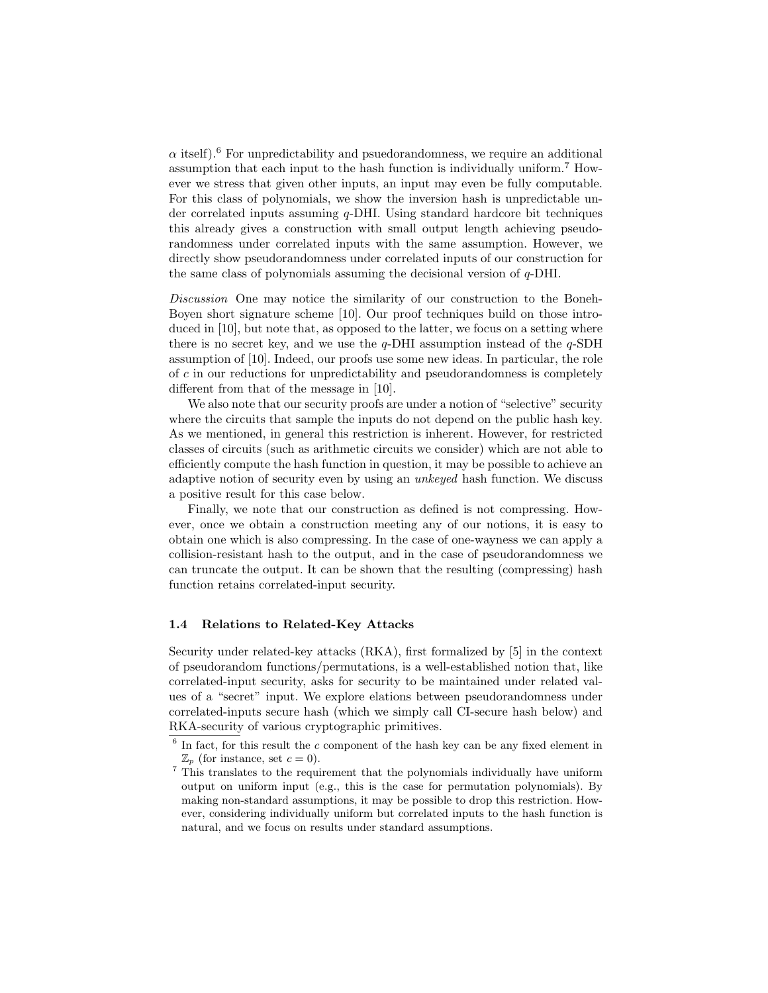$\alpha$  itself).<sup>6</sup> For unpredictability and psuedorandomness, we require an additional assumption that each input to the hash function is individually uniform.<sup>7</sup> However we stress that given other inputs, an input may even be fully computable. For this class of polynomials, we show the inversion hash is unpredictable under correlated inputs assuming *q*-DHI. Using standard hardcore bit techniques this already gives a construction with small output length achieving pseudorandomness under correlated inputs with the same assumption. However, we directly show pseudorandomness under correlated inputs of our construction for the same class of polynomials assuming the decisional version of *q*-DHI.

*Discussion* One may notice the similarity of our construction to the Boneh-Boyen short signature scheme [10]. Our proof techniques build on those introduced in [10], but note that, as opposed to the latter, we focus on a setting where there is no secret key, and we use the *q*-DHI assumption instead of the *q*-SDH assumption of [10]. Indeed, our proofs use some new ideas. In particular, the role of *c* in our reductions for unpredictability and pseudorandomness is completely different from that of the message in [10].

We also note that our security proofs are under a notion of "selective" security where the circuits that sample the inputs do not depend on the public hash key. As we mentioned, in general this restriction is inherent. However, for restricted classes of circuits (such as arithmetic circuits we consider) which are not able to efficiently compute the hash function in question, it may be possible to achieve an adaptive notion of security even by using an *unkeyed* hash function. We discuss a positive result for this case below.

Finally, we note that our construction as defined is not compressing. However, once we obtain a construction meeting any of our notions, it is easy to obtain one which is also compressing. In the case of one-wayness we can apply a collision-resistant hash to the output, and in the case of pseudorandomness we can truncate the output. It can be shown that the resulting (compressing) hash function retains correlated-input security.

#### **1.4 Relations to Related-Key Attacks**

Security under related-key attacks (RKA), first formalized by [5] in the context of pseudorandom functions/permutations, is a well-established notion that, like correlated-input security, asks for security to be maintained under related values of a "secret" input. We explore elations between pseudorandomness under correlated-inputs secure hash (which we simply call CI-secure hash below) and RKA-security of various cryptographic primitives.

<sup>&</sup>lt;sup>6</sup> In fact, for this result the *c* component of the hash key can be any fixed element in  $\mathbb{Z}_p$  (for instance, set  $c = 0$ ).

<sup>&</sup>lt;sup>7</sup> This translates to the requirement that the polynomials individually have uniform output on uniform input (e.g., this is the case for permutation polynomials). By making non-standard assumptions, it may be possible to drop this restriction. However, considering individually uniform but correlated inputs to the hash function is natural, and we focus on results under standard assumptions.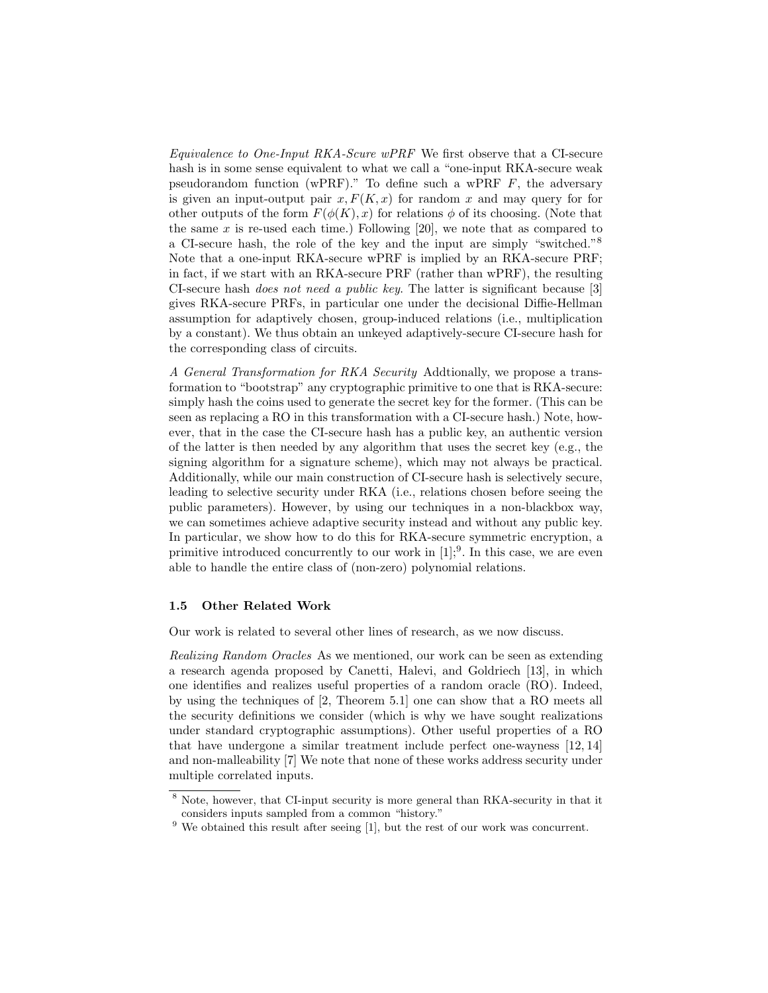*Equivalence to One-Input RKA-Scure wPRF* We first observe that a CI-secure hash is in some sense equivalent to what we call a "one-input RKA-secure weak pseudorandom function (wPRF)." To define such a wPRF *F*, the adversary is given an input-output pair  $x, F(K, x)$  for random  $x$  and may query for for other outputs of the form  $F(\phi(K),x)$  for relations  $\phi$  of its choosing. (Note that the same  $x$  is re-used each time.) Following  $[20]$ , we note that as compared to a CI-secure hash, the role of the key and the input are simply "switched."<sup>8</sup> Note that a one-input RKA-secure wPRF is implied by an RKA-secure PRF; in fact, if we start with an RKA-secure PRF (rather than wPRF), the resulting CI-secure hash *does not need a public key*. The latter is significant because [3] gives RKA-secure PRFs, in particular one under the decisional Diffie-Hellman assumption for adaptively chosen, group-induced relations (i.e., multiplication by a constant). We thus obtain an unkeyed adaptively-secure CI-secure hash for the corresponding class of circuits.

*A General Transformation for RKA Security* Addtionally, we propose a transformation to "bootstrap" any cryptographic primitive to one that is RKA-secure: simply hash the coins used to generate the secret key for the former. (This can be seen as replacing a RO in this transformation with a CI-secure hash.) Note, however, that in the case the CI-secure hash has a public key, an authentic version of the latter is then needed by any algorithm that uses the secret key (e.g., the signing algorithm for a signature scheme), which may not always be practical. Additionally, while our main construction of CI-secure hash is selectively secure, leading to selective security under RKA (i.e., relations chosen before seeing the public parameters). However, by using our techniques in a non-blackbox way, we can sometimes achieve adaptive security instead and without any public key. In particular, we show how to do this for RKA-secure symmetric encryption, a primitive introduced concurrently to our work in  $[1];<sup>9</sup>$ . In this case, we are even able to handle the entire class of (non-zero) polynomial relations.

#### **1.5 Other Related Work**

Our work is related to several other lines of research, as we now discuss.

*Realizing Random Oracles* As we mentioned, our work can be seen as extending a research agenda proposed by Canetti, Halevi, and Goldriech [13], in which one identifies and realizes useful properties of a random oracle (RO). Indeed, by using the techniques of [2, Theorem 5.1] one can show that a RO meets all the security definitions we consider (which is why we have sought realizations under standard cryptographic assumptions). Other useful properties of a RO that have undergone a similar treatment include perfect one-wayness [12, 14] and non-malleability [7] We note that none of these works address security under multiple correlated inputs.

<sup>8</sup> Note, however, that CI-input security is more general than RKA-security in that it considers inputs sampled from a common "history."

<sup>&</sup>lt;sup>9</sup> We obtained this result after seeing [1], but the rest of our work was concurrent.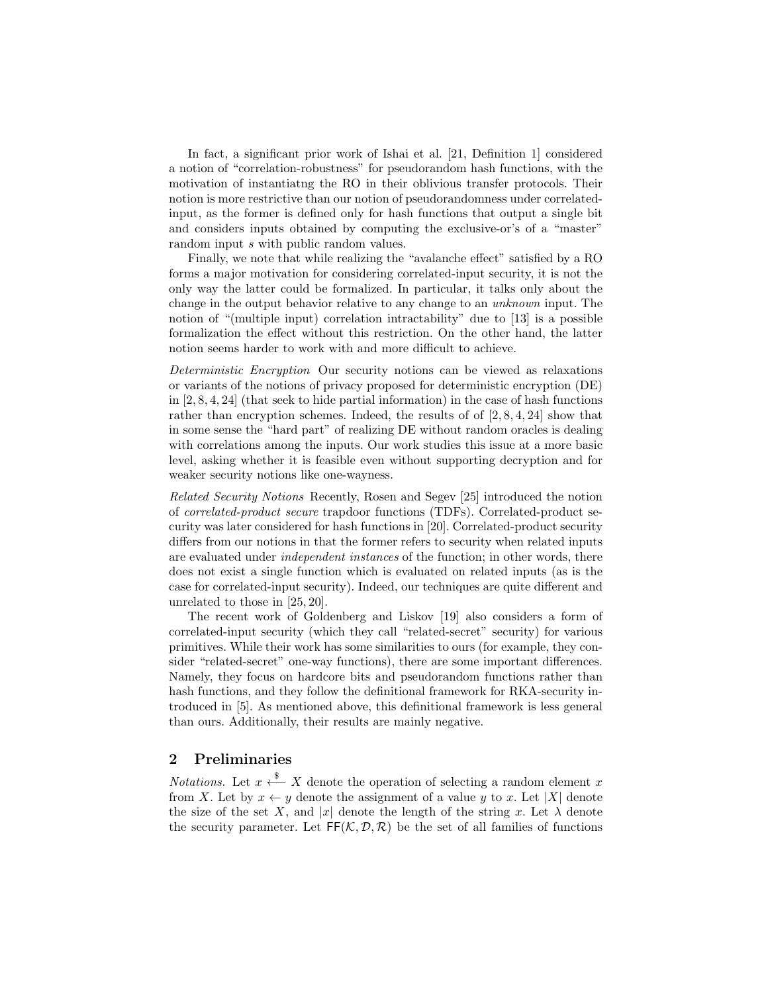In fact, a significant prior work of Ishai et al. [21, Definition 1] considered a notion of "correlation-robustness" for pseudorandom hash functions, with the motivation of instantiatng the RO in their oblivious transfer protocols. Their notion is more restrictive than our notion of pseudorandomness under correlatedinput, as the former is defined only for hash functions that output a single bit and considers inputs obtained by computing the exclusive-or's of a "master" random input *s* with public random values.

Finally, we note that while realizing the "avalanche effect" satisfied by a RO forms a major motivation for considering correlated-input security, it is not the only way the latter could be formalized. In particular, it talks only about the change in the output behavior relative to any change to an *unknown* input. The notion of "(multiple input) correlation intractability" due to [13] is a possible formalization the effect without this restriction. On the other hand, the latter notion seems harder to work with and more difficult to achieve.

*Deterministic Encryption* Our security notions can be viewed as relaxations or variants of the notions of privacy proposed for deterministic encryption (DE) in  $[2, 8, 4, 24]$  (that seek to hide partial information) in the case of hash functions rather than encryption schemes. Indeed, the results of of [2, 8, 4, 24] show that in some sense the "hard part" of realizing DE without random oracles is dealing with correlations among the inputs. Our work studies this issue at a more basic level, asking whether it is feasible even without supporting decryption and for weaker security notions like one-wayness.

*Related Security Notions* Recently, Rosen and Segev [25] introduced the notion of *correlated-product secure* trapdoor functions (TDFs). Correlated-product security was later considered for hash functions in [20]. Correlated-product security differs from our notions in that the former refers to security when related inputs are evaluated under *independent instances* of the function; in other words, there does not exist a single function which is evaluated on related inputs (as is the case for correlated-input security). Indeed, our techniques are quite different and unrelated to those in [25, 20].

The recent work of Goldenberg and Liskov [19] also considers a form of correlated-input security (which they call "related-secret" security) for various primitives. While their work has some similarities to ours (for example, they consider "related-secret" one-way functions), there are some important differences. Namely, they focus on hardcore bits and pseudorandom functions rather than hash functions, and they follow the definitional framework for RKA-security introduced in [5]. As mentioned above, this definitional framework is less general than ours. Additionally, their results are mainly negative.

## **2 Preliminaries**

*Notations.* Let  $x \stackrel{\$}{\longleftarrow} X$  denote the operation of selecting a random element  $x$ from *X*. Let by  $x \leftarrow y$  denote the assignment of a value *y* to *x*. Let |*X*| denote the size of the set X, and |*x*| denote the length of the string *x*. Let  $\lambda$  denote the security parameter. Let  $\mathsf{FF}(\mathcal{K}, \mathcal{D}, \mathcal{R})$  be the set of all families of functions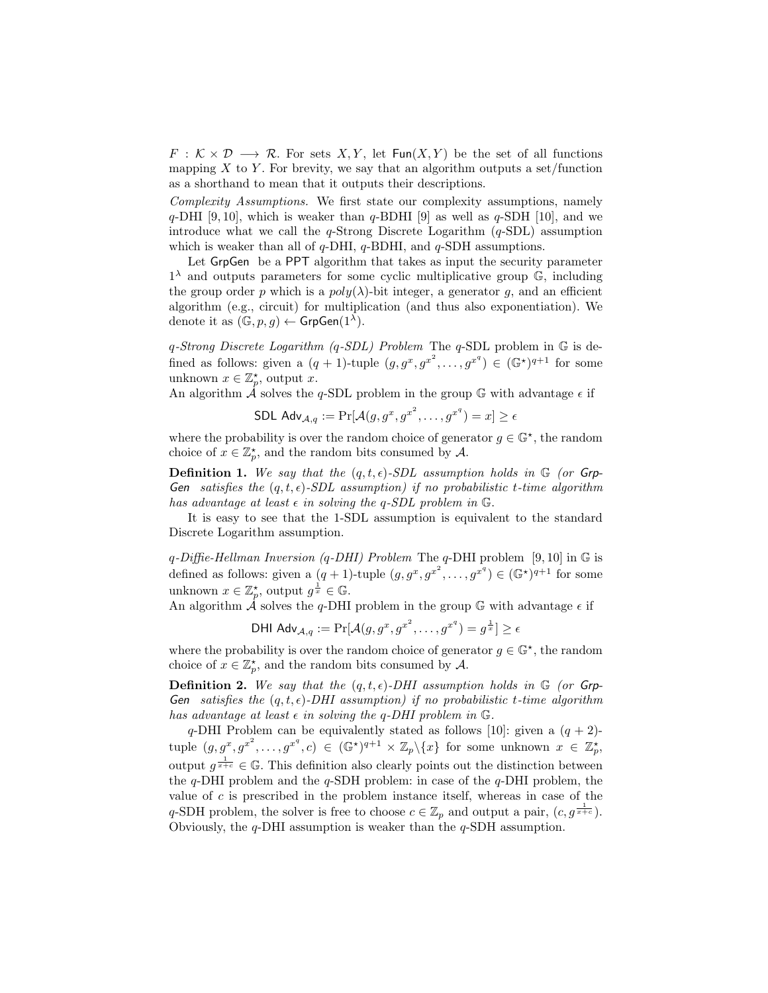$F: \mathcal{K} \times \mathcal{D} \longrightarrow \mathcal{R}$ . For sets *X,Y*, let Fun(*X,Y*) be the set of all functions mapping  $X$  to  $Y$ . For brevity, we say that an algorithm outputs a set/function as a shorthand to mean that it outputs their descriptions.

*Complexity Assumptions.* We first state our complexity assumptions, namely *q*-DHI [9, 10], which is weaker than *q*-BDHI [9] as well as *q*-SDH [10], and we introduce what we call the *q*-Strong Discrete Logarithm (*q*-SDL) assumption which is weaker than all of *q*-DHI, *q*-BDHI, and *q*-SDH assumptions.

Let GrpGen be a PPT algorithm that takes as input the security parameter  $1<sup>\lambda</sup>$  and outputs parameters for some cyclic multiplicative group  $\mathbb{G}$ , including the group order *p* which is a  $poly(\lambda)$ -bit integer, a generator *q*, and an efficient algorithm (e.g., circuit) for multiplication (and thus also exponentiation). We denote it as  $(\mathbb{G}, p, g) \leftarrow \mathsf{GrpGen}(1^{\lambda})$ .

*q-Strong Discrete Logarithm (q-SDL) Problem* The *q*-SDL problem in G is defined as follows: given a  $(q + 1)$ -tuple  $(g, g^x, g^{x^2}, \ldots, g^{x^q}) \in (\mathbb{G}^*)^{q+1}$  for some unknown  $x \in \mathbb{Z}_p^*$ , output  $x$ .

An algorithm  $\hat{\mathcal{A}}$  solves the *q*-SDL problem in the group  $\mathbb{G}$  with advantage  $\epsilon$  if

$$
\textsf{SDL Adv}_{\mathcal{A},q} := \Pr[\mathcal{A}(g, g^x, g^{x^2}, \dots, g^{x^q}) = x] \ge \epsilon
$$

where the probability is over the random choice of generator  $g \in \mathbb{G}^*$ , the random choice of  $x \in \mathbb{Z}_p^*$ , and the random bits consumed by  $\mathcal{A}$ .

**Definition 1.** We say that the  $(q, t, \epsilon)$ -SDL assumption holds in  $\mathbb{G}$  (or Grp-*Gen satisfies the*  $(q, t, \epsilon)$ *-SDL assumption) if no probabilistic t-time algorithm has advantage at least*  $\epsilon$  *in solving the q-SDL problem in*  $\mathbb{G}$ .

It is easy to see that the 1-SDL assumption is equivalent to the standard Discrete Logarithm assumption.

*q-Diffie-Hellman Inversion (q-DHI) Problem* The *q*-DHI problem [9, 10] in G is defined as follows: given a  $(q + 1)$ -tuple  $(g, g^x, g^{x^2}, \ldots, g^{x^q}) \in (\mathbb{G}^{\star})^{q+1}$  for some unknown  $x \in \mathbb{Z}_p^*$ , output  $g^{\frac{1}{x}} \in \mathbb{G}$ .

An algorithm  $\hat{\mathcal{A}}$  solves the *q*-DHI problem in the group  $\mathbb{G}$  with advantage  $\epsilon$  if

DHI Adv<sub>A,q</sub> := 
$$
\Pr[\mathcal{A}(g, g^x, g^{x^2}, \dots, g^{x^q}) = g^{\frac{1}{x}}] \ge \epsilon
$$

where the probability is over the random choice of generator  $g \in \mathbb{G}^*$ , the random choice of  $x \in \mathbb{Z}_p^*$ , and the random bits consumed by  $\mathcal{A}$ .

**Definition 2.** We say that the  $(q, t, \epsilon)$ -DHI assumption holds in  $\mathbb{G}$  (or Grp-*Gen satisfies the*  $(q, t, \epsilon)$ *-DHI assumption*) *if no probabilistic t-time algorithm has advantage at least*  $\epsilon$  *in solving the q-DHI problem in*  $\mathbb{G}$ *.* 

*q*-DHI Problem can be equivalently stated as follows [10]: given a  $(q + 2)$ tuple  $(g, g^x, g^{x^2}, \ldots, g^{x^q}, c) \in (\mathbb{G}^{\star})^{q+1} \times \mathbb{Z}_p \backslash \{x\}$  for some unknown  $x \in \mathbb{Z}_p^{\star}$ , output  $g^{\frac{1}{x+c}} \in \mathbb{G}$ . This definition also clearly points out the distinction between the *q*-DHI problem and the *q*-SDH problem: in case of the *q*-DHI problem, the value of *c* is prescribed in the problem instance itself, whereas in case of the *q*-SDH problem, the solver is free to choose  $c \in \mathbb{Z}_p$  and output a pair,  $(c, g^{\frac{1}{x+c}})$ . Obviously, the *q*-DHI assumption is weaker than the *q*-SDH assumption.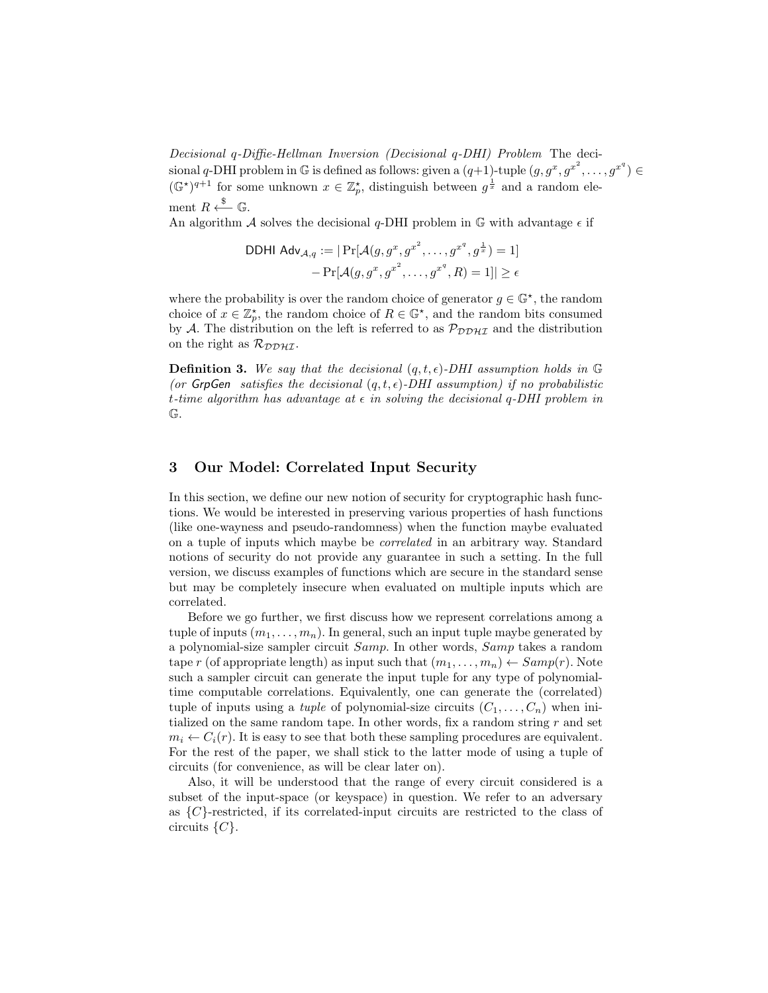*Decisional q-Diffie-Hellman Inversion (Decisional q-DHI) Problem* The decisional *q*-DHI problem in  $\mathbb G$  is defined as follows: given a  $(q+1)$ -tuple  $(g, g^x, g^{x^2}, \ldots, g^{x^q}) \in$  $(\mathbb{G}^*)^{q+1}$  for some unknown  $x \in \mathbb{Z}_p^*$ , distinguish between  $g^{\frac{1}{x}}$  and a random element  $R \xleftarrow{\$} \mathbb{G}$ .

An algorithm *A* solves the decisional *q*-DHI problem in  $\mathbb{G}$  with advantage  $\epsilon$  if

$$
\begin{aligned} \text{DDHI Adv}_{\mathcal{A},q} &:= |\Pr[\mathcal{A}(g, g^x, g^{x^2}, \dots, g^{x^q}, g^{\frac{1}{x}}) = 1] \\ &- \Pr[\mathcal{A}(g, g^x, g^{x^2}, \dots, g^{x^q}, R) = 1]| \ge \epsilon \end{aligned}
$$

where the probability is over the random choice of generator  $g \in \mathbb{G}^*$ , the random choice of  $x \in \mathbb{Z}_p^*$ , the random choice of  $R \in \mathbb{G}^*$ , and the random bits consumed by *A*. The distribution on the left is referred to as  $P_{DDH\mathcal{I}}$  and the distribution on the right as  $\mathcal{R}_{\mathcal{DDHI}}$ .

**Definition 3.** We say that the decisional  $(q, t, \epsilon)$ -DHI assumption holds in  $\mathbb{G}$ *(or GrpGen satisfies the decisional*  $(q, t, \epsilon)$ *-DHI assumption) if no probabilistic t*-time algorithm has advantage at  $\epsilon$  in solving the decisional q-DHI problem in G.

### **3 Our Model: Correlated Input Security**

In this section, we define our new notion of security for cryptographic hash functions. We would be interested in preserving various properties of hash functions (like one-wayness and pseudo-randomness) when the function maybe evaluated on a tuple of inputs which maybe be *correlated* in an arbitrary way. Standard notions of security do not provide any guarantee in such a setting. In the full version, we discuss examples of functions which are secure in the standard sense but may be completely insecure when evaluated on multiple inputs which are correlated.

Before we go further, we first discuss how we represent correlations among a tuple of inputs  $(m_1, \ldots, m_n)$ . In general, such an input tuple maybe generated by a polynomial-size sampler circuit *Samp*. In other words, *Samp* takes a random tape *r* (of appropriate length) as input such that  $(m_1, \ldots, m_n) \leftarrow Samp(r)$ . Note such a sampler circuit can generate the input tuple for any type of polynomialtime computable correlations. Equivalently, one can generate the (correlated) tuple of inputs using a *tuple* of polynomial-size circuits  $(C_1, \ldots, C_n)$  when initialized on the same random tape. In other words, fix a random string  $r$  and set  $m_i \leftarrow C_i(r)$ . It is easy to see that both these sampling procedures are equivalent. For the rest of the paper, we shall stick to the latter mode of using a tuple of circuits (for convenience, as will be clear later on).

Also, it will be understood that the range of every circuit considered is a subset of the input-space (or keyspace) in question. We refer to an adversary as  ${C}$ -restricted, if its correlated-input circuits are restricted to the class of circuits *{C}*.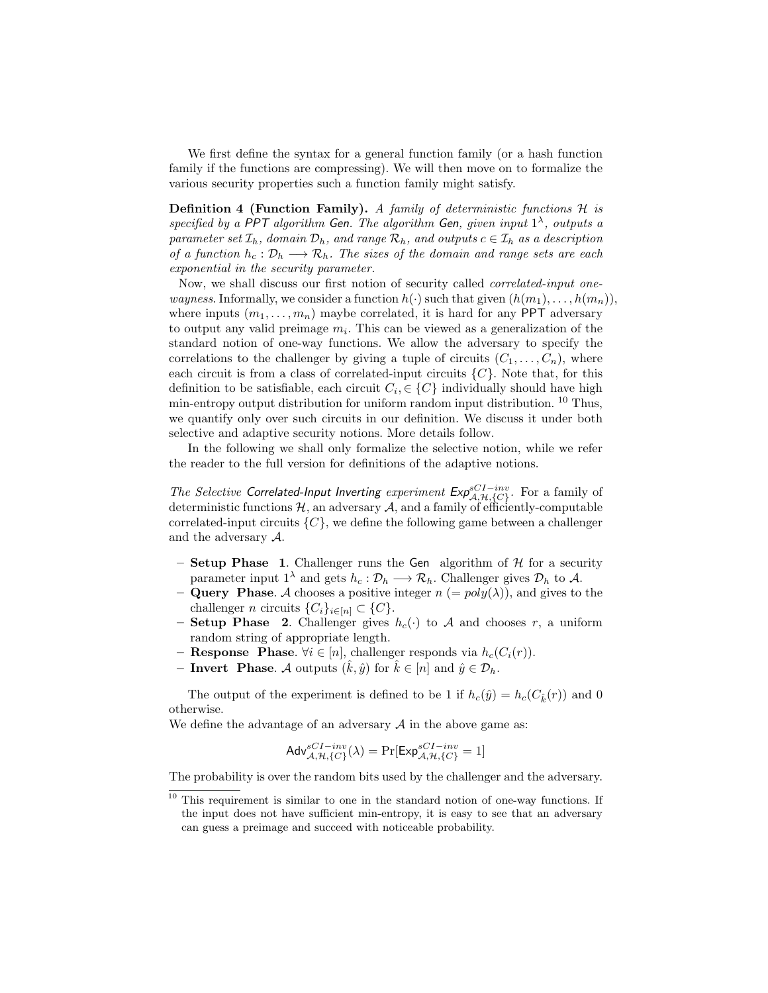We first define the syntax for a general function family (or a hash function family if the functions are compressing). We will then move on to formalize the various security properties such a function family might satisfy.

**Definition 4 (Function Family).** *A family of deterministic functions H is specified by a PPT algorithm Gen. The algorithm Gen, given input*  $1^{\lambda}$ *, outputs a parameter set*  $\mathcal{I}_h$ *, domain*  $\mathcal{D}_h$ *, and range*  $\mathcal{R}_h$ *, and outputs*  $c \in \mathcal{I}_h$  *as a description of a function*  $h_c: \mathcal{D}_h \longrightarrow \mathcal{R}_h$ *. The sizes of the domain and range sets are each exponential in the security parameter.*

Now, we shall discuss our first notion of security called *correlated-input onewayness*. Informally, we consider a function  $h(\cdot)$  such that given  $(h(m_1), \ldots, h(m_n))$ , where inputs  $(m_1, \ldots, m_n)$  maybe correlated, it is hard for any **PPT** adversary to output any valid preimage *m<sup>i</sup>* . This can be viewed as a generalization of the standard notion of one-way functions. We allow the adversary to specify the correlations to the challenger by giving a tuple of circuits  $(C_1, \ldots, C_n)$ , where each circuit is from a class of correlated-input circuits  $\{C\}$ . Note that, for this definition to be satisfiable, each circuit  $C_i$ ,  $\in \{C\}$  individually should have high min-entropy output distribution for uniform random input distribution.  $^{10}$  Thus, we quantify only over such circuits in our definition. We discuss it under both selective and adaptive security notions. More details follow.

In the following we shall only formalize the selective notion, while we refer the reader to the full version for definitions of the adaptive notions.

*The Selective Correlated-Input Inverting experiment*  $Exp_{\mathcal{A},\mathcal{H},\{C\}}^{sCI-inv}$ *. For a family of* deterministic functions  $H$ , an adversary  $A$ , and a family of efficiently-computable correlated-input circuits  $\{C\}$ , we define the following game between a challenger and the adversary *A*.

- **– Setup Phase 1**. Challenger runs the Gen algorithm of *H* for a security parameter input  $1^{\lambda}$  and gets  $h_c: \mathcal{D}_h \longrightarrow \mathcal{R}_h$ . Challenger gives  $\mathcal{D}_h$  to A.
- **– Query** Phase. *A* chooses a positive integer  $n (= poly(\lambda))$ , and gives to the challenger *n* circuits  $\{C_i\}_{i \in [n]} \subset \{C\}.$
- **– Setup Phase 2.** Challenger gives  $h_c(\cdot)$  to *A* and chooses *r*, a uniform random string of appropriate length.
- **– Response Phase**. *∀i ∈* [*n*], challenger responds via *hc*(*Ci*(*r*)).
- − **Invert** Phase. *A* outputs  $(\hat{k}, \hat{y})$  for  $\hat{k} \in [n]$  and  $\hat{y} \in \mathcal{D}_h$ .

The output of the experiment is defined to be 1 if  $h_c(\hat{y}) = h_c(C_{\hat{i}}(r))$  and 0 otherwise.

We define the advantage of an adversary  $A$  in the above game as:

$$
\mathsf{Adv}_{\mathcal{A},\mathcal{H},\{C\}}^{sCI-inv}(\lambda) = \Pr[\mathsf{Exp}_{\mathcal{A},\mathcal{H},\{C\}}^{sCI-inv} = 1]
$$

The probability is over the random bits used by the challenger and the adversary.

 $10$  This requirement is similar to one in the standard notion of one-way functions. If the input does not have sufficient min-entropy, it is easy to see that an adversary can guess a preimage and succeed with noticeable probability.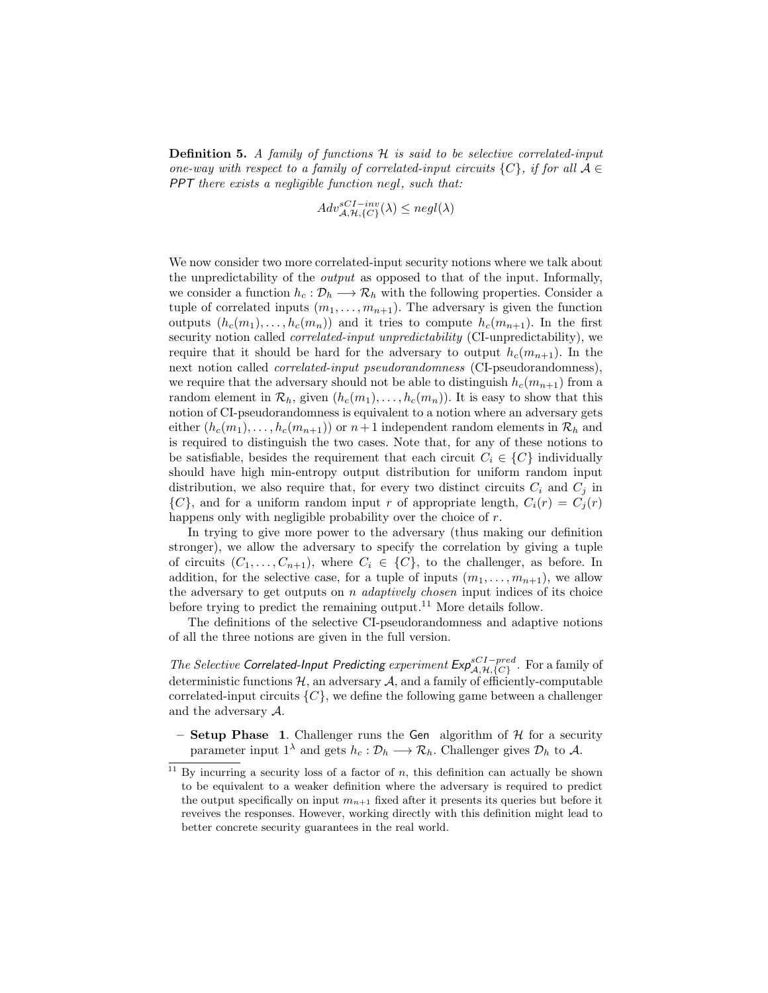**Definition 5.** *A family of functions H is said to be selective correlated-input one-way with respect to a family of correlated-input circuits*  ${C}$ *}, if for all*  $A \in$ *PPT there exists a negligible function negl, such that:*

$$
Adv_{\mathcal{A}, \mathcal{H}, \{C\}}^{sCI - inv}(\lambda) \le negl(\lambda)
$$

We now consider two more correlated-input security notions where we talk about the unpredictability of the *output* as opposed to that of the input. Informally, we consider a function  $h_c: \mathcal{D}_h \longrightarrow \mathcal{R}_h$  with the following properties. Consider a tuple of correlated inputs  $(m_1, \ldots, m_{n+1})$ . The adversary is given the function outputs  $(h_c(m_1), \ldots, h_c(m_n))$  and it tries to compute  $h_c(m_{n+1})$ . In the first security notion called *correlated-input unpredictability* (CI-unpredictability), we require that it should be hard for the adversary to output  $h_c(m_{n+1})$ . In the next notion called *correlated-input pseudorandomness* (CI-pseudorandomness), we require that the adversary should not be able to distinguish  $h_c(m_{n+1})$  from a random element in  $\mathcal{R}_h$ , given  $(h_c(m_1), \ldots, h_c(m_n))$ . It is easy to show that this notion of CI-pseudorandomness is equivalent to a notion where an adversary gets either  $(h_c(m_1), \ldots, h_c(m_{n+1}))$  or  $n+1$  independent random elements in  $\mathcal{R}_h$  and is required to distinguish the two cases. Note that, for any of these notions to be satisfiable, besides the requirement that each circuit  $C_i \in \{C\}$  individually should have high min-entropy output distribution for uniform random input distribution, we also require that, for every two distinct circuits  $C_i$  and  $C_j$  in  ${C}$ <sup>*}*</sup>, and for a uniform random input *r* of appropriate length,  $C_i(r) = C_i(r)$ happens only with negligible probability over the choice of *r*.

In trying to give more power to the adversary (thus making our definition stronger), we allow the adversary to specify the correlation by giving a tuple of circuits  $(C_1, \ldots, C_{n+1})$ , where  $C_i \in \{C\}$ , to the challenger, as before. In addition, for the selective case, for a tuple of inputs  $(m_1, \ldots, m_{n+1})$ , we allow the adversary to get outputs on *n adaptively chosen* input indices of its choice before trying to predict the remaining output.<sup>11</sup> More details follow.

The definitions of the selective CI-pseudorandomness and adaptive notions of all the three notions are given in the full version.

*The Selective Correlated-Input Predicting experiment*  $Exp_{A,H,\lbrace C \rbrace}^{sCI-pred}$ . For a family of deterministic functions  $H$ , an adversary  $A$ , and a family of efficiently-computable correlated-input circuits  $\{C\}$ , we define the following game between a challenger and the adversary *A*.

 $-$  **Setup Phase** 1. Challenger runs the Gen algorithm of  $H$  for a security parameter input  $1^{\lambda}$  and gets  $h_c: \mathcal{D}_h \longrightarrow \mathcal{R}_h$ . Challenger gives  $\mathcal{D}_h$  to A.

<sup>&</sup>lt;sup>11</sup> By incurring a security loss of a factor of  $n$ , this definition can actually be shown to be equivalent to a weaker definition where the adversary is required to predict the output specifically on input  $m_{n+1}$  fixed after it presents its queries but before it reveives the responses. However, working directly with this definition might lead to better concrete security guarantees in the real world.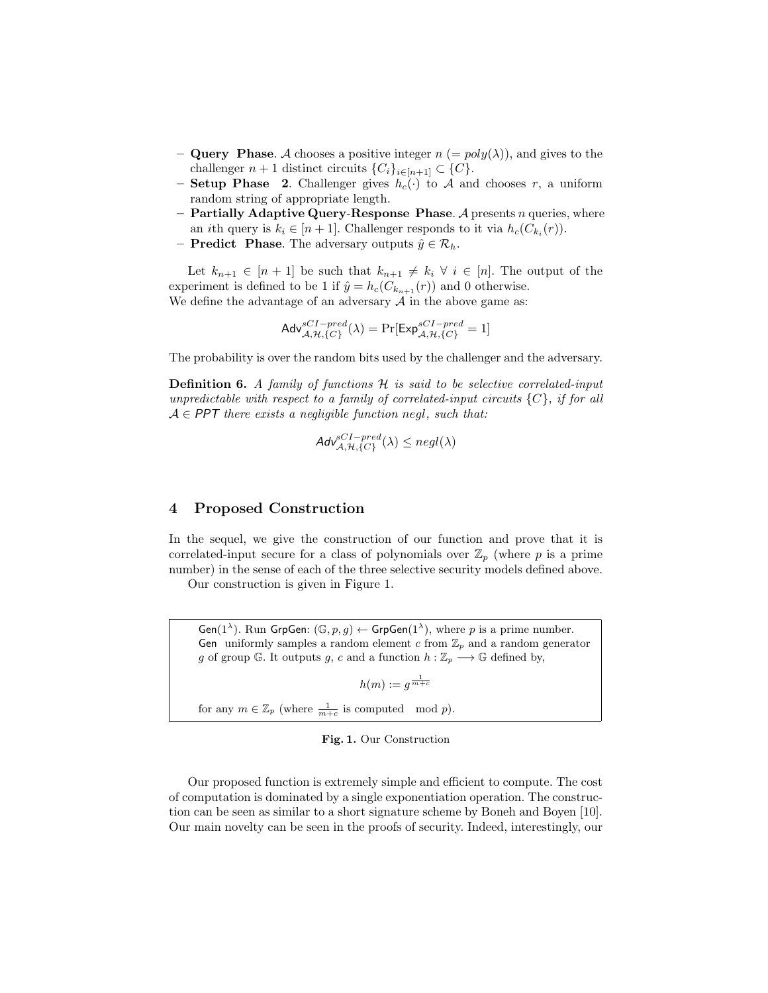- $-$  **Query** Phase. A chooses a positive integer  $n (= poly(\lambda))$ , and gives to the challenger  $n + 1$  distinct circuits  $\{C_i\}_{i \in [n+1]} \subset \{C\}.$
- **– Setup Phase 2**. Challenger gives  $h_c(\cdot)$  to A and chooses r, a uniform random string of appropriate length.
- **– Partially Adaptive Query**-**Response Phase**. *A* presents *n* queries, where an *i*th query is  $k_i \in [n+1]$ . Challenger responds to it via  $h_c(C_{k_i}(r))$ .
- $\mathbf{P} = \mathbf{Predict} \quad \mathbf{Phase}.$  The adversary outputs  $\hat{y} \in \mathcal{R}_h$ .

Let  $k_{n+1} \in [n+1]$  be such that  $k_{n+1} \neq k_i \ \forall i \in [n]$ . The output of the experiment is defined to be 1 if  $\hat{y} = h_c(C_{k_{n+1}}(r))$  and 0 otherwise. We define the advantage of an adversary  $A$  in the above game as:

$$
\mathsf{Adv}_{\mathcal{A}, \mathcal{H}, \{C\}}^{sCI-pred}(\lambda) = \Pr[\mathsf{Exp}_{\mathcal{A}, \mathcal{H}, \{C\}}^{sCI-pred} = 1]
$$

The probability is over the random bits used by the challenger and the adversary.

**Definition 6.** *A family of functions H is said to be selective correlated-input unpredictable with respect to a family of correlated-input circuits {C}, if for all A ∈ PPT there exists a negligible function negl, such that:*

$$
Adv_{\mathcal{A},\mathcal{H},\{C\}}^{sCI-pred}(\lambda) \leq negl(\lambda)
$$

## **4 Proposed Construction**

In the sequel, we give the construction of our function and prove that it is correlated-input secure for a class of polynomials over  $\mathbb{Z}_p$  (where  $p$  is a prime number) in the sense of each of the three selective security models defined above.

Our construction is given in Figure 1.

 $Gen(1^{\lambda})$ . Run GrpGen:  $(\mathbb{G}, p, g) \leftarrow GrpGen(1^{\lambda})$ , where p is a prime number. Gen uniformly samples a random element  $c$  from  $\mathbb{Z}_p$  and a random generator *g* of group  $\mathbb{G}$ . It outputs *g*, *c* and a function  $h : \mathbb{Z}_p \longrightarrow \mathbb{G}$  defined by,

$$
h(m) := g^{\frac{1}{m+c}}
$$

for any  $m \in \mathbb{Z}_p$  (where  $\frac{1}{m+c}$  is computed mod *p*).

#### **Fig. 1.** Our Construction

Our proposed function is extremely simple and efficient to compute. The cost of computation is dominated by a single exponentiation operation. The construction can be seen as similar to a short signature scheme by Boneh and Boyen [10]. Our main novelty can be seen in the proofs of security. Indeed, interestingly, our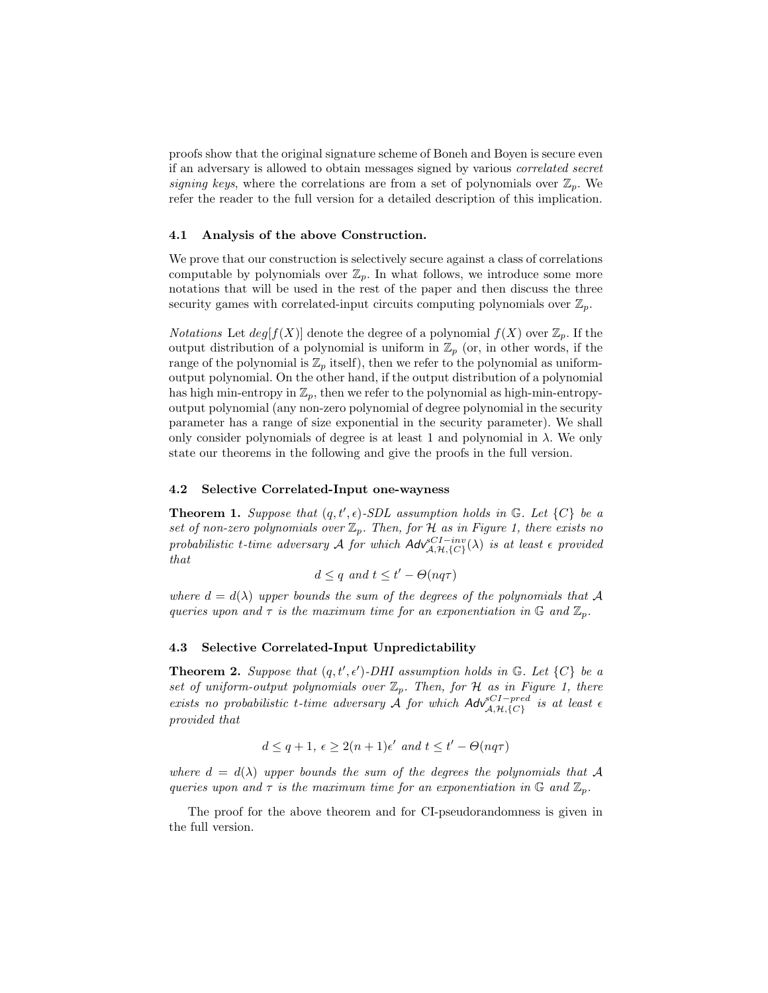proofs show that the original signature scheme of Boneh and Boyen is secure even if an adversary is allowed to obtain messages signed by various *correlated secret signing keys*, where the correlations are from a set of polynomials over  $\mathbb{Z}_p$ . We refer the reader to the full version for a detailed description of this implication.

#### **4.1 Analysis of the above Construction.**

We prove that our construction is selectively secure against a class of correlations computable by polynomials over  $\mathbb{Z}_p$ . In what follows, we introduce some more notations that will be used in the rest of the paper and then discuss the three security games with correlated-input circuits computing polynomials over  $\mathbb{Z}_p$ .

*Notations* Let  $deg[f(X)]$  denote the degree of a polynomial  $f(X)$  over  $\mathbb{Z}_p$ . If the output distribution of a polynomial is uniform in  $\mathbb{Z}_p$  (or, in other words, if the range of the polynomial is  $\mathbb{Z}_p$  itself), then we refer to the polynomial as uniformoutput polynomial. On the other hand, if the output distribution of a polynomial has high min-entropy in  $\mathbb{Z}_p$ , then we refer to the polynomial as high-min-entropyoutput polynomial (any non-zero polynomial of degree polynomial in the security parameter has a range of size exponential in the security parameter). We shall only consider polynomials of degree is at least 1 and polynomial in  $\lambda$ . We only state our theorems in the following and give the proofs in the full version.

#### **4.2 Selective Correlated-Input one-wayness**

**Theorem 1.** *Suppose that*  $(q, t', \epsilon)$ -*SDL* assumption holds in  $\mathbb{G}$ . Let  $\{C\}$  be a *set of non-zero polynomials over*  $\mathbb{Z}_p$ *. Then, for H as in Figure 1, there exists no* probabilistic t-time adversary A for which  $\mathsf{Adv}^{SI-inv}_{\mathcal{A},\mathcal{H},\{C\}}(\lambda)$  is at least  $\epsilon$  provided *that*

$$
d \le q \text{ and } t \le t' - \Theta(nq\tau)
$$

*where*  $d = d(\lambda)$  *upper bounds the sum of the degrees of the polynomials that* A *queries upon and*  $\tau$  *is the maximum time for an exponentiation in*  $\mathbb{G}$  *and*  $\mathbb{Z}_p$ *.* 

#### **4.3 Selective Correlated-Input Unpredictability**

**Theorem 2.** Suppose that  $(q, t', \epsilon')$ -DHI assumption holds in  $\mathbb{G}$ . Let  $\{C\}$  be a *set of uniform-output polynomials over*  $\mathbb{Z}_p$ *. Then, for H as in Figure 1, there exists no probabilistic t-time adversary A for which*  $\text{Adv}_{\mathcal{A},\mathcal{H},\{C\}}^{sCI-pred}$  *is at least*  $\epsilon$ *provided that*

$$
d \leq q+1, \epsilon \geq 2(n+1)\epsilon'
$$
 and  $t \leq t' - \Theta(nq\tau)$ 

*where*  $d = d(\lambda)$  *upper bounds the sum of the degrees the polynomials that* A *queries upon and*  $\tau$  *is the maximum time for an exponentiation in*  $\mathbb{G}$  *and*  $\mathbb{Z}_p$ *.* 

The proof for the above theorem and for CI-pseudorandomness is given in the full version.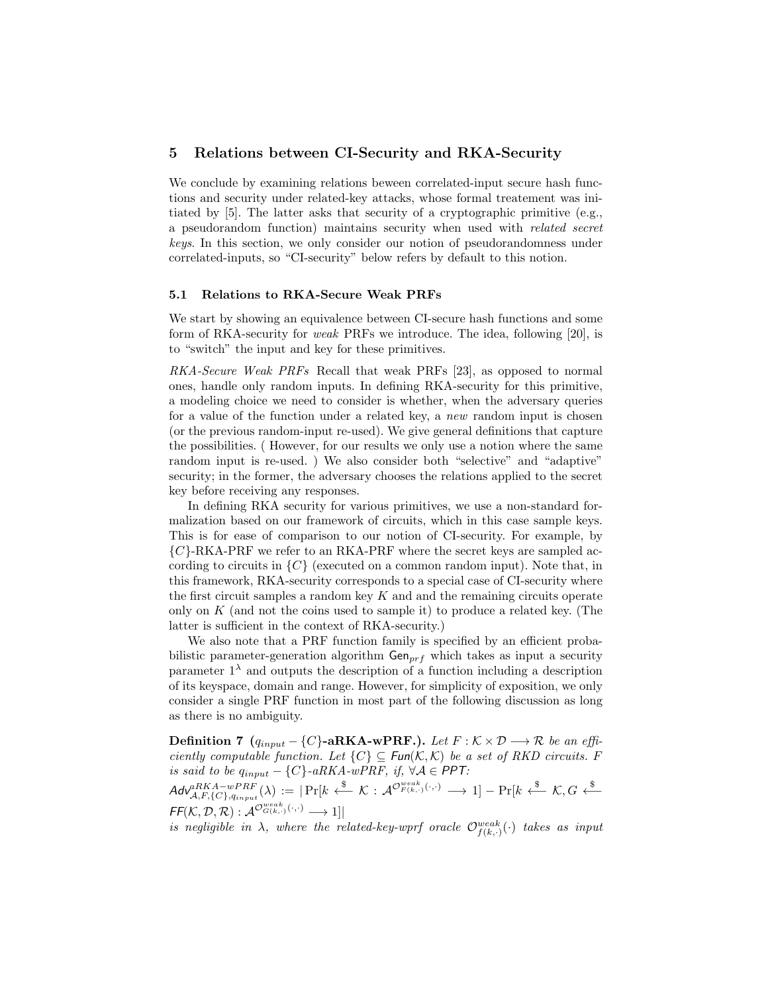## **5 Relations between CI-Security and RKA-Security**

We conclude by examining relations beween correlated-input secure hash functions and security under related-key attacks, whose formal treatement was initiated by [5]. The latter asks that security of a cryptographic primitive (e.g., a pseudorandom function) maintains security when used with *related secret keys*. In this section, we only consider our notion of pseudorandomness under correlated-inputs, so "CI-security" below refers by default to this notion.

#### **5.1 Relations to RKA-Secure Weak PRFs**

We start by showing an equivalence between CI-secure hash functions and some form of RKA-security for *weak* PRFs we introduce. The idea, following [20], is to "switch" the input and key for these primitives.

*RKA-Secure Weak PRFs* Recall that weak PRFs [23], as opposed to normal ones, handle only random inputs. In defining RKA-security for this primitive, a modeling choice we need to consider is whether, when the adversary queries for a value of the function under a related key, a *new* random input is chosen (or the previous random-input re-used). We give general definitions that capture the possibilities. ( However, for our results we only use a notion where the same random input is re-used. ) We also consider both "selective" and "adaptive" security; in the former, the adversary chooses the relations applied to the secret key before receiving any responses.

In defining RKA security for various primitives, we use a non-standard formalization based on our framework of circuits, which in this case sample keys. This is for ease of comparison to our notion of CI-security. For example, by *{C}*-RKA-PRF we refer to an RKA-PRF where the secret keys are sampled according to circuits in *{C}* (executed on a common random input). Note that, in this framework, RKA-security corresponds to a special case of CI-security where the first circuit samples a random key *K* and and the remaining circuits operate only on *K* (and not the coins used to sample it) to produce a related key. (The latter is sufficient in the context of RKA-security.)

We also note that a PRF function family is specified by an efficient probabilistic parameter-generation algorithm Gen*prf* which takes as input a security parameter  $1^{\lambda}$  and outputs the description of a function including a description of its keyspace, domain and range. However, for simplicity of exposition, we only consider a single PRF function in most part of the following discussion as long as there is no ambiguity.

**Definition 7**  $(q_{input} - \{C\}$ **-aRKA-wPRF.**). Let  $F : K \times D \longrightarrow R$  be an effi*ciently computable function. Let*  $\{C\} \subseteq \text{Fun}(\mathcal{K}, \mathcal{K})$  *be a set of RKD circuits. F is said to be*  $q_{input} - {C}$ *-aRKA-wPRF, if,*  $\forall A \in PPT$ *:*  $\mathcal{A}d\mathsf{v}^{aRKA-wPRF}_{\mathcal{A},F,\{C\},q_{input}}(\lambda) := |\Pr[k \stackrel{\$}{\longleftarrow} \mathcal{K}:\mathcal{A}^{\mathcal{O}^{weak}_{F(k,\cdot)}(\cdot,\cdot)} \longrightarrow 1] - \Pr[k \stackrel{\$}{\longleftarrow} \mathcal{K},G \stackrel{\$}{\longleftarrow}$  $\mathsf{FF}(\mathcal{K}, \mathcal{D}, \mathcal{R}) : \mathcal{A}^{\mathcal{O}_{G(k,\cdot)}^{\textit{weak}}}(\cdot, \cdot) \longrightarrow 1]$ 

*is negligible in*  $\lambda$ *, where the related-key-wprf oracle*  $\mathcal{O}_{f(k,.)}^{weak}(\cdot)$  *takes as input*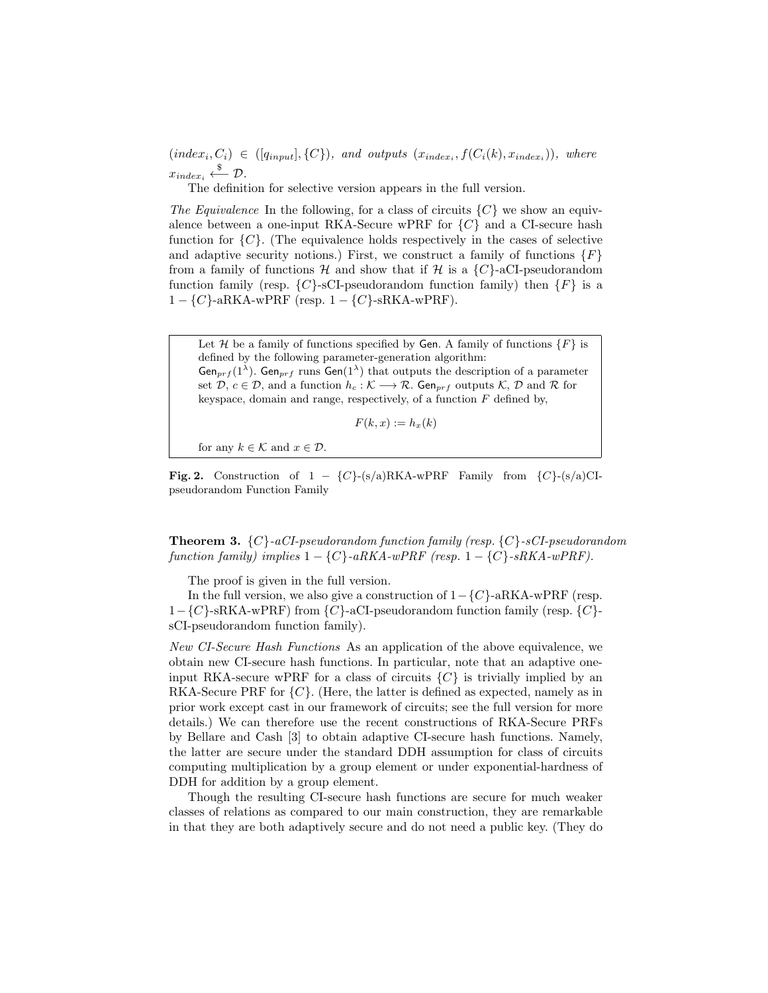$(index_i,C_i) \in ([q_{input}],\{C\}),$  and outputs  $(x_{index_i}, f(C_i(k), x_{index_i})),$  where  $x_{index_i} \leftarrow^{\$} \mathcal{D}.$ 

The definition for selective version appears in the full version.

*The Equivalence* In the following, for a class of circuits  $\{C\}$  we show an equivalence between a one-input RKA-Secure wPRF for *{C}* and a CI-secure hash function for  $\{C\}$ . (The equivalence holds respectively in the cases of selective and adaptive security notions.) First, we construct a family of functions *{F}* from a family of functions  $H$  and show that if  $H$  is a  $\{C\}$ -aCI-pseudorandom function family (resp.  ${C}$ }-sCI-pseudorandom function family) then  ${F}$  is a 1 *− {C}*-aRKA-wPRF (resp. 1 *− {C}*-sRKA-wPRF).

Let *H* be a family of functions specified by Gen. A family of functions  ${F}$  is defined by the following parameter-generation algorithm:  $\mathsf{Gen}_{prf}(1^{\lambda})$ .  $\mathsf{Gen}_{prf}$  runs  $\mathsf{Gen}(1^{\lambda})$  that outputs the description of a parameter set  $\mathcal{D}, c \in \mathcal{D}$ , and a function  $h_c : \mathcal{K} \longrightarrow \mathcal{R}$ . Gen<sub>prf</sub> outputs  $\mathcal{K}, \mathcal{D}$  and  $\mathcal{R}$  for keyspace, domain and range, respectively, of a function *F* defined by,

$$
F(k, x) := h_x(k)
$$

for any  $k \in \mathcal{K}$  and  $x \in \mathcal{D}$ .

**Fig. 2.** Construction of 1 –  $\{C\}$ -(s/a)RKA-wPRF Family from  $\{C\}$ -(s/a)CIpseudorandom Function Family

**Theorem 3.** *{C}-aCI-pseudorandom function family (resp. {C}-sCI-pseudorandom function family) implies*  $1 - {C}$ *-aRKA-wPRF (resp.*  $1 - {C}$ *-sRKA-wPRF).* 

The proof is given in the full version.

In the full version, we also give a construction of 1*−{C}*-aRKA-wPRF (resp. 1*− {C}*-sRKA-wPRF) from *{C}*-aCI-pseudorandom function family (resp. *{C}* sCI-pseudorandom function family).

*New CI-Secure Hash Functions* As an application of the above equivalence, we obtain new CI-secure hash functions. In particular, note that an adaptive oneinput RKA-secure wPRF for a class of circuits  $\{C\}$  is trivially implied by an RKA-Secure PRF for *{C}*. (Here, the latter is defined as expected, namely as in prior work except cast in our framework of circuits; see the full version for more details.) We can therefore use the recent constructions of RKA-Secure PRFs by Bellare and Cash [3] to obtain adaptive CI-secure hash functions. Namely, the latter are secure under the standard DDH assumption for class of circuits computing multiplication by a group element or under exponential-hardness of DDH for addition by a group element.

Though the resulting CI-secure hash functions are secure for much weaker classes of relations as compared to our main construction, they are remarkable in that they are both adaptively secure and do not need a public key. (They do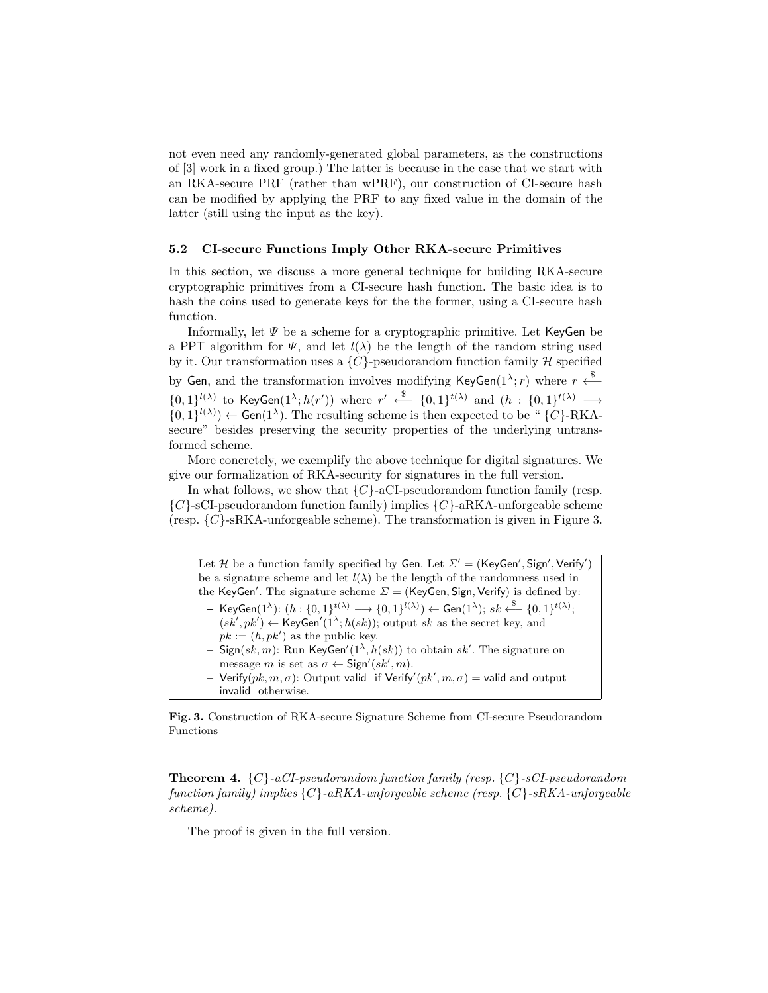not even need any randomly-generated global parameters, as the constructions of [3] work in a fixed group.) The latter is because in the case that we start with an RKA-secure PRF (rather than wPRF), our construction of CI-secure hash can be modified by applying the PRF to any fixed value in the domain of the latter (still using the input as the key).

#### **5.2 CI-secure Functions Imply Other RKA-secure Primitives**

In this section, we discuss a more general technique for building RKA-secure cryptographic primitives from a CI-secure hash function. The basic idea is to hash the coins used to generate keys for the the former, using a CI-secure hash function.

Informally, let *Ψ* be a scheme for a cryptographic primitive. Let KeyGen be a PPT algorithm for  $\Psi$ , and let  $l(\lambda)$  be the length of the random string used by it. Our transformation uses a  $\{C\}$ -pseudorandom function family  $\mathcal H$  specified by Gen, and the transformation involves modifying KeyGen( $1^\lambda$ ; *r*) where  $r \xleftarrow{\$}$  $\{0,1\}^{l(\lambda)}$  to KeyGen $(1^{\lambda};h(r'))$  where  $r' \stackrel{\$}{\longleftarrow} \{0,1\}^{t(\lambda)}$  and  $(h:\{0,1\}^{t(\lambda)} \longrightarrow$  ${0, 1}$ <sup>*l*( $\lambda$ )</sup> ← Gen( $1$  $\lambda$ ). The resulting scheme is then expected to be " {*C*}-RKAsecure" besides preserving the security properties of the underlying untransformed scheme.

More concretely, we exemplify the above technique for digital signatures. We give our formalization of RKA-security for signatures in the full version.

In what follows, we show that  ${C}$ *-aCI-pseudorandom function family (resp. {C}*-sCI-pseudorandom function family) implies *{C}*-aRKA-unforgeable scheme (resp.  ${C}$ }-sRKA-unforgeable scheme). The transformation is given in Figure 3.

Let  $\mathcal H$  be a function family specified by Gen. Let  $\mathcal L' =$  (KeyGen', Sign', Verify') be a signature scheme and let  $l(\lambda)$  be the length of the randomness used in the KeyGen*′* . The signature scheme *Σ* = (KeyGen*,* Sign*,* Verify) is defined by:  $-$  KeyGen $(1^{\lambda})$ :  $(h:\{0,1\}^{t(\lambda)} \longrightarrow \{0,1\}^{l(\lambda)}) \leftarrow$  Gen $(1^{\lambda}); \, sk \stackrel{\$}{\longleftarrow} \{0,1\}^{t(\lambda)};$  $(sk', pk') \leftarrow \text{KeyGen}'(1^{\lambda}; h(sk));$  output *sk* as the secret key, and

- $pk := (h, pk')$  as the public key.  $-$  Sign( $sk, m$ ): Run KeyGen<sup>'</sup>( $1^{\lambda}, h(sk)$ ) to obtain  $sk'$ . The signature on
- $m$ essage *m* is set as  $\sigma \leftarrow$  Sign'(sk', m).
- **–** Verify(*pk, m, σ*): Output valid if Verify*′* (*pk′ , m, σ*) = valid and output invalid otherwise.

**Fig. 3.** Construction of RKA-secure Signature Scheme from CI-secure Pseudorandom Functions

**Theorem 4.** *{C}-aCI-pseudorandom function family (resp. {C}-sCI-pseudorandom function family) implies {C}-aRKA-unforgeable scheme (resp. {C}-sRKA-unforgeable scheme).*

The proof is given in the full version.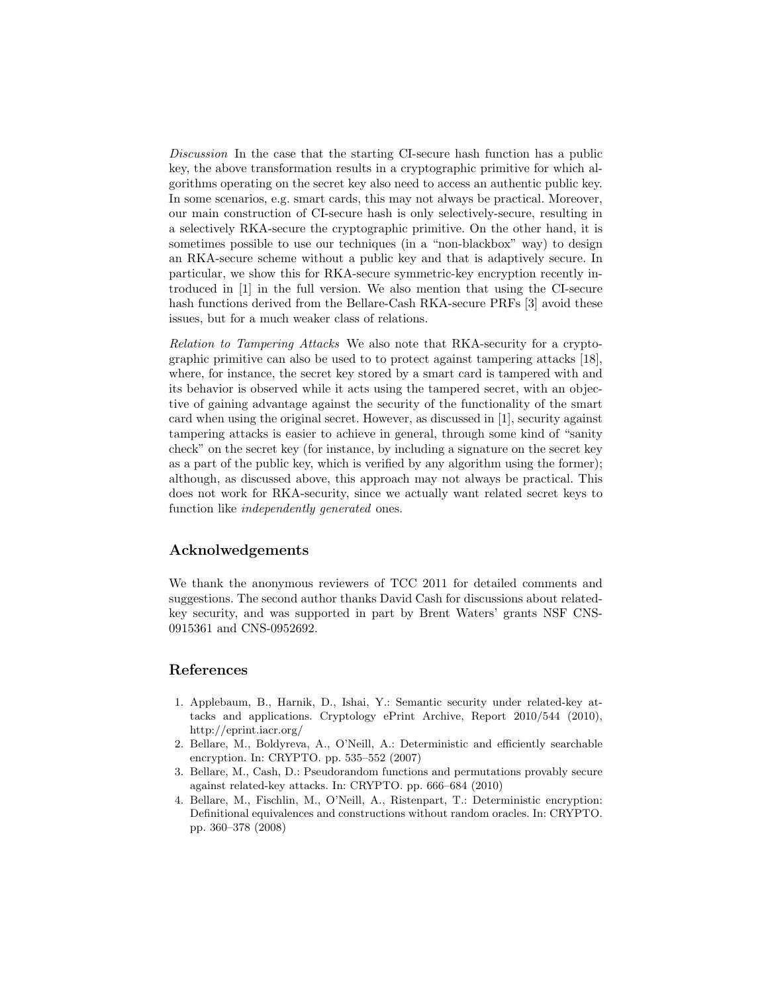*Discussion* In the case that the starting CI-secure hash function has a public key, the above transformation results in a cryptographic primitive for which algorithms operating on the secret key also need to access an authentic public key. In some scenarios, e.g. smart cards, this may not always be practical. Moreover, our main construction of CI-secure hash is only selectively-secure, resulting in a selectively RKA-secure the cryptographic primitive. On the other hand, it is sometimes possible to use our techniques (in a "non-blackbox" way) to design an RKA-secure scheme without a public key and that is adaptively secure. In particular, we show this for RKA-secure symmetric-key encryption recently introduced in [1] in the full version. We also mention that using the CI-secure hash functions derived from the Bellare-Cash RKA-secure PRFs [3] avoid these issues, but for a much weaker class of relations.

*Relation to Tampering Attacks* We also note that RKA-security for a cryptographic primitive can also be used to to protect against tampering attacks [18], where, for instance, the secret key stored by a smart card is tampered with and its behavior is observed while it acts using the tampered secret, with an objective of gaining advantage against the security of the functionality of the smart card when using the original secret. However, as discussed in [1], security against tampering attacks is easier to achieve in general, through some kind of "sanity check" on the secret key (for instance, by including a signature on the secret key as a part of the public key, which is verified by any algorithm using the former); although, as discussed above, this approach may not always be practical. This does not work for RKA-security, since we actually want related secret keys to function like *independently generated* ones.

## **Acknolwedgements**

We thank the anonymous reviewers of TCC 2011 for detailed comments and suggestions. The second author thanks David Cash for discussions about relatedkey security, and was supported in part by Brent Waters' grants NSF CNS-0915361 and CNS-0952692.

## **References**

- 1. Applebaum, B., Harnik, D., Ishai, Y.: Semantic security under related-key attacks and applications. Cryptology ePrint Archive, Report 2010/544 (2010), http://eprint.iacr.org/
- 2. Bellare, M., Boldyreva, A., O'Neill, A.: Deterministic and efficiently searchable encryption. In: CRYPTO. pp. 535–552 (2007)
- 3. Bellare, M., Cash, D.: Pseudorandom functions and permutations provably secure against related-key attacks. In: CRYPTO. pp. 666–684 (2010)
- 4. Bellare, M., Fischlin, M., O'Neill, A., Ristenpart, T.: Deterministic encryption: Definitional equivalences and constructions without random oracles. In: CRYPTO. pp. 360–378 (2008)